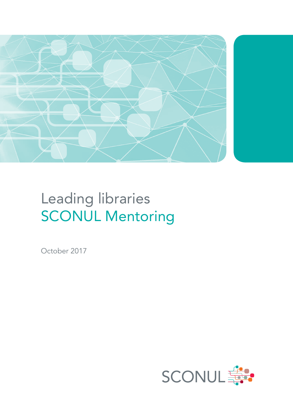

# Leading libraries SCONUL Mentoring

October 2017

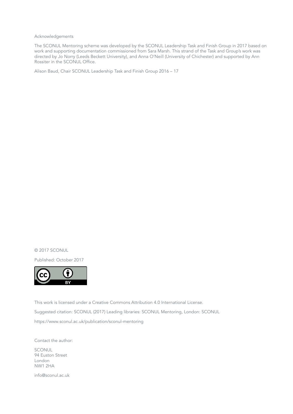Acknowledgements

The SCONUL Mentoring scheme was developed by the SCONUL Leadership Task and Finish Group in 2017 based on work and supporting documentation commissioned from Sara Marsh. This strand of the Task and Group's work was directed by Jo Norry (Leeds Beckett University), and Anna O'Neill (University of Chichester) and supported by Ann Rossiter in the SCONUL Office.

Alison Baud, Chair SCONUL Leadership Task and Finish Group 2016 – 17

© 2017 SCONUL

Published: October 2017



This work is licensed under a Creative Commons Attribution 4.0 International License. Suggested citation: SCONUL (2017) Leading libraries: SCONUL Mentoring, London: SCONUL https://www.sconul.ac.uk/publication/sconul-mentoring

Contact the author:

**SCONUL** 94 Euston Street London NW1 2HA

info@sconul.ac.uk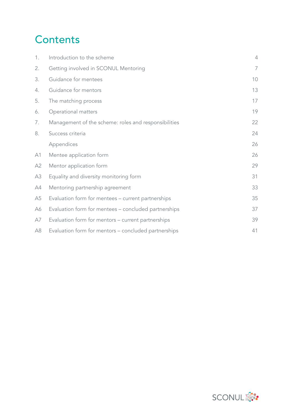# **Contents**

| 1.             | Introduction to the scheme                           | $\overline{4}$ |
|----------------|------------------------------------------------------|----------------|
| 2.             | Getting involved in SCONUL Mentoring                 | 7              |
| 3.             | Guidance for mentees                                 | 10             |
| 4.             | Guidance for mentors                                 | 13             |
| 5.             | The matching process                                 | 17             |
| 6.             | Operational matters                                  | 19             |
| 7.             | Management of the scheme: roles and responsibilities | 22             |
| 8.             | Success criteria                                     | 24             |
|                | Appendices                                           | 26             |
| A1             | Mentee application form                              | 26             |
| A2             | Mentor application form                              | 29             |
| A3             | Equality and diversity monitoring form               | 31             |
| A4             | Mentoring partnership agreement                      | 33             |
| A <sub>5</sub> | Evaluation form for mentees - current partnerships   | 35             |
| А6             | Evaluation form for mentees - concluded partnerships | 37             |
| A7             | Evaluation form for mentors - current partnerships   | 39             |
| A8             | Evaluation form for mentors – concluded partnerships | 41             |

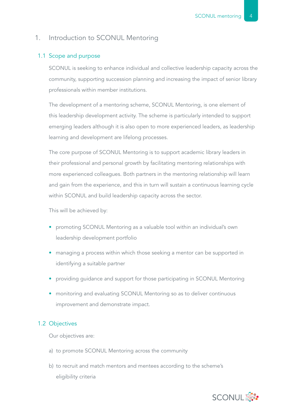#### 1. Introduction to SCONUL Mentoring

#### 1.1 Scope and purpose

SCONUL is seeking to enhance individual and collective leadership capacity across the community, supporting succession planning and increasing the impact of senior library professionals within member institutions.

The development of a mentoring scheme, SCONUL Mentoring, is one element of this leadership development activity. The scheme is particularly intended to support emerging leaders although it is also open to more experienced leaders, as leadership learning and development are lifelong processes.

The core purpose of SCONUL Mentoring is to support academic library leaders in their professional and personal growth by facilitating mentoring relationships with more experienced colleagues. Both partners in the mentoring relationship will learn and gain from the experience, and this in turn will sustain a continuous learning cycle within SCONUL and build leadership capacity across the sector.

This will be achieved by:

- promoting SCONUL Mentoring as a valuable tool within an individual's own leadership development portfolio
- managing a process within which those seeking a mentor can be supported in identifying a suitable partner
- providing guidance and support for those participating in SCONUL Mentoring
- monitoring and evaluating SCONUL Mentoring so as to deliver continuous improvement and demonstrate impact.

#### 1.2 Objectives

Our objectives are:

- a) to promote SCONUL Mentoring across the community
- b) to recruit and match mentors and mentees according to the scheme's eligibility criteria

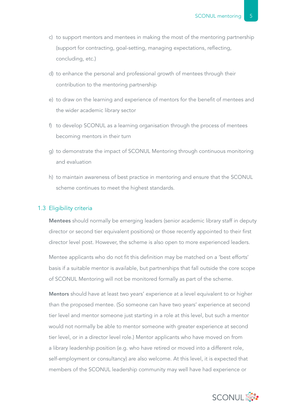- c) to support mentors and mentees in making the most of the mentoring partnership (support for contracting, goal-setting, managing expectations, reflecting, concluding, etc.)
- d) to enhance the personal and professional growth of mentees through their contribution to the mentoring partnership
- e) to draw on the learning and experience of mentors for the benefit of mentees and the wider academic library sector
- f) to develop SCONUL as a learning organisation through the process of mentees becoming mentors in their turn
- g) to demonstrate the impact of SCONUL Mentoring through continuous monitoring and evaluation
- h) to maintain awareness of best practice in mentoring and ensure that the SCONUL scheme continues to meet the highest standards.

#### 1.3 Eligibility criteria

Mentees should normally be emerging leaders (senior academic library staff in deputy director or second tier equivalent positions) or those recently appointed to their first director level post. However, the scheme is also open to more experienced leaders.

Mentee applicants who do not fit this definition may be matched on a 'best efforts' basis if a suitable mentor is available, but partnerships that fall outside the core scope of SCONUL Mentoring will not be monitored formally as part of the scheme.

Mentors should have at least two years' experience at a level equivalent to or higher than the proposed mentee. (So someone can have two years' experience at second tier level and mentor someone just starting in a role at this level, but such a mentor would not normally be able to mentor someone with greater experience at second tier level, or in a director level role.) Mentor applicants who have moved on from a library leadership position (e.g. who have retired or moved into a different role, self-employment or consultancy) are also welcome. At this level, it is expected that members of the SCONUL leadership community may well have had experience or

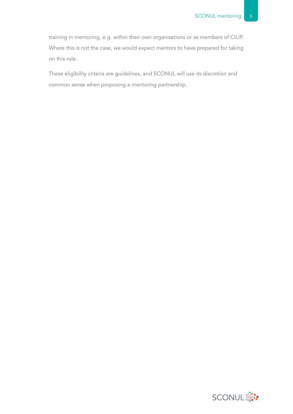training in mentoring, e.g. within their own organisations or as members of CILIP. Where this is not the case, we would expect mentors to have prepared for taking on this role.

These eligibility criteria are guidelines, and SCONUL will use its discretion and common sense when proposing a mentoring partnership.

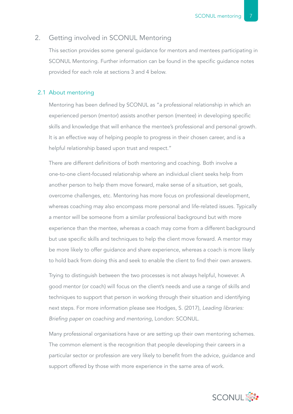#### 2. Getting involved in SCONUL Mentoring

This section provides some general guidance for mentors and mentees participating in SCONUL Mentoring. Further information can be found in the specific guidance notes provided for each role at sections 3 and 4 below.

#### 2.1 About mentoring

Mentoring has been defined by SCONUL as "a professional relationship in which an experienced person (mentor) assists another person (mentee) in developing specific skills and knowledge that will enhance the mentee's professional and personal growth. It is an effective way of helping people to progress in their chosen career, and is a helpful relationship based upon trust and respect."

There are different definitions of both mentoring and coaching. Both involve a one-to-one client-focused relationship where an individual client seeks help from another person to help them move forward, make sense of a situation, set goals, overcome challenges, etc. Mentoring has more focus on professional development, whereas coaching may also encompass more personal and life-related issues. Typically a mentor will be someone from a similar professional background but with more experience than the mentee, whereas a coach may come from a different background but use specific skills and techniques to help the client move forward. A mentor may be more likely to offer guidance and share experience, whereas a coach is more likely to hold back from doing this and seek to enable the client to find their own answers.

Trying to distinguish between the two processes is not always helpful, however. A good mentor (or coach) will focus on the client's needs and use a range of skills and techniques to support that person in working through their situation and identifying next steps. For more information please see Hodges, S. (2017), *Leading libraries: Briefing paper on coaching and mentoring*, London: SCONUL.

Many professional organisations have or are setting up their own mentoring schemes. The common element is the recognition that people developing their careers in a particular sector or profession are very likely to benefit from the advice, guidance and support offered by those with more experience in the same area of work.

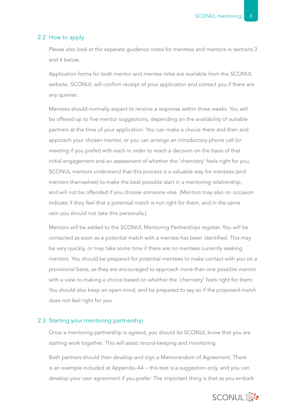#### 2.2 How to apply

Please also look at the separate guidance notes for mentees and mentors in sections 3 and 4 below.

Application forms for both mentor and mentee roles are available from the SCONUL website. SCONUL will confirm receipt of your application and contact you if there are any queries.

Mentees should normally expect to receive a response within three weeks. You will be offered up to five mentor suggestions, depending on the availability of suitable partners at the time of your application. You can make a choice there and then and approach your chosen mentor, or you can arrange an introductory phone call (or meeting if you prefer) with each in order to reach a decision on the basis of that initial engagement and an assessment of whether the 'chemistry' feels right for you. SCONUL mentors understand that this process is a valuable way for mentees (and mentors themselves) to make the best possible start in a mentoring relationship, and will not be offended if you choose someone else. (Mentors may also on occasion indicate if they feel that a potential match is not right for them, and in the same vein you should not take this personally.)

Mentors will be added to the SCONUL Mentoring Partnerships register. You will be contacted as soon as a potential match with a mentee has been identified. This may be very quickly, or may take some time if there are no mentees currently seeking mentors. You should be prepared for potential mentees to make contact with you on a provisional basis, as they are encouraged to approach more than one possible mentor with a view to making a choice based on whether the 'chemistry' feels right for them. You should also keep an open mind, and be prepared to say so if the proposed match does not feel right for you.

#### 2.3 Starting your mentoring partnership

Once a mentoring partnership is agreed, you should let SCONUL know that you are starting work together. This will assist record-keeping and monitoring.

Both partners should then develop and sign a Memorandum of Agreement. There is an example included at Appendix A4 – this text is a suggestion only, and you can develop your own agreement if you prefer. The important thing is that as you embark

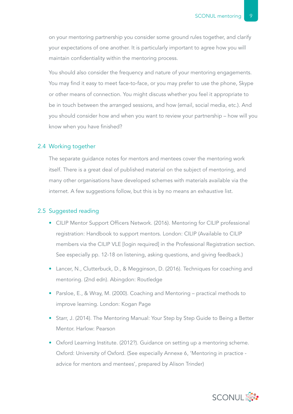on your mentoring partnership you consider some ground rules together, and clarify your expectations of one another. It is particularly important to agree how you will maintain confidentiality within the mentoring process.

You should also consider the frequency and nature of your mentoring engagements. You may find it easy to meet face-to-face, or you may prefer to use the phone, Skype or other means of connection. You might discuss whether you feel it appropriate to be in touch between the arranged sessions, and how (email, social media, etc.). And you should consider how and when you want to review your partnership – how will you know when you have finished?

#### 2.4 Working together

The separate guidance notes for mentors and mentees cover the mentoring work itself. There is a great deal of published material on the subject of mentoring, and many other organisations have developed schemes with materials available via the internet. A few suggestions follow, but this is by no means an exhaustive list.

#### 2.5 Suggested reading

- CILIP Mentor Support Officers Network. (2016). Mentoring for CILIP professional registration: Handbook to support mentors. London: CILIP (Available to CILIP members via the CILIP VLE [login required] in the Professional Registration section. See especially pp. 12-18 on listening, asking questions, and giving feedback.)
- Lancer, N., Clutterbuck, D., & Megginson, D. (2016). Techniques for coaching and mentoring. (2nd edn). Abingdon: Routledge
- Parsloe, E., & Wray, M. (2000). Coaching and Mentoring practical methods to improve learning. London: Kogan Page
- Starr, J. (2014). The Mentoring Manual: Your Step by Step Guide to Being a Better Mentor. Harlow: Pearson
- Oxford Learning Institute. (2012?). Guidance on setting up a mentoring scheme. Oxford: University of Oxford. (See especially Annexe 6, 'Mentoring in practice advice for mentors and mentees', prepared by Alison Trinder)

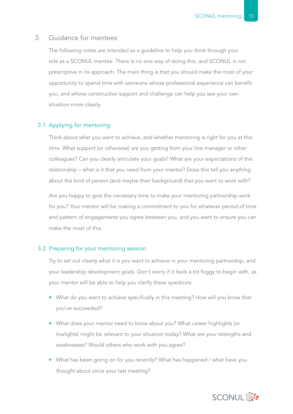#### 3. Guidance for mentees

The following notes are intended as a guideline to help you think through your role as a SCONUL mentee. There is no one way of doing this, and SCONUL is not prescriptive in its approach. The main thing is that you should make the most of your opportunity to spend time with someone whose professional experience can benefit you, and whose constructive support and challenge can help you see your own situation more clearly.

#### 3.1 Applying for mentoring

Think about what you want to achieve, and whether mentoring is right for you at this time. What support (or otherwise) are you getting from your line manager or other colleagues? Can you clearly articulate your goals? What are your expectations of this relationship – what is it that you need from your mentor? Does this tell you anything about the kind of person (and maybe their background) that you want to work with?

Are you happy to give the necessary time to make your mentoring partnership work for you? Your mentor will be making a commitment to you for whatever period of time and pattern of engagements you agree between you, and you want to ensure you can make the most of this.

#### 3.2 Preparing for your mentoring session

Try to set out clearly what it is you want to achieve in your mentoring partnership, and your leadership development goals. Don't worry if it feels a bit foggy to begin with, as your mentor will be able to help you clarify these questions.

- What do you want to achieve specifically in this meeting? How will you know that you've succeeded?
- What does your mentor need to know about you? What career highlights (or lowlights) might be relevant to your situation today? What are your strengths and weaknesses? Would others who work with you agree?
- What has been going on for you recently? What has happened / what have you thought about since your last meeting?

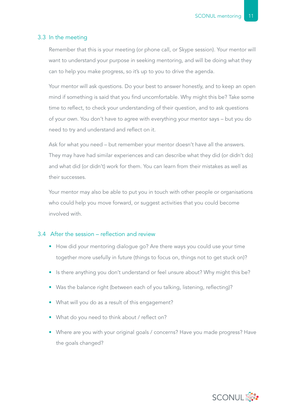#### 3.3 In the meeting

Remember that this is your meeting (or phone call, or Skype session). Your mentor will want to understand your purpose in seeking mentoring, and will be doing what they can to help you make progress, so it's up to you to drive the agenda.

Your mentor will ask questions. Do your best to answer honestly, and to keep an open mind if something is said that you find uncomfortable. Why might this be? Take some time to reflect, to check your understanding of their question, and to ask questions of your own. You don't have to agree with everything your mentor says – but you do need to try and understand and reflect on it.

Ask for what you need – but remember your mentor doesn't have all the answers. They may have had similar experiences and can describe what they did (or didn't do) and what did (or didn't) work for them. You can learn from their mistakes as well as their successes.

Your mentor may also be able to put you in touch with other people or organisations who could help you move forward, or suggest activities that you could become involved with.

#### 3.4 After the session – reflection and review

- How did your mentoring dialogue go? Are there ways you could use your time together more usefully in future (things to focus on, things not to get stuck on)?
- Is there anything you don't understand or feel unsure about? Why might this be?
- Was the balance right (between each of you talking, listening, reflecting)?
- What will you do as a result of this engagement?
- What do you need to think about / reflect on?
- Where are you with your original goals / concerns? Have you made progress? Have the goals changed?

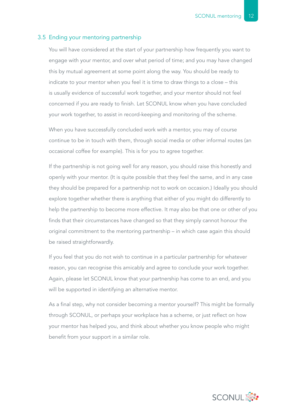#### 3.5 Ending your mentoring partnership

You will have considered at the start of your partnership how frequently you want to engage with your mentor, and over what period of time; and you may have changed this by mutual agreement at some point along the way. You should be ready to indicate to your mentor when you feel it is time to draw things to a close – this is usually evidence of successful work together, and your mentor should not feel concerned if you are ready to finish. Let SCONUL know when you have concluded your work together, to assist in record-keeping and monitoring of the scheme.

When you have successfully concluded work with a mentor, you may of course continue to be in touch with them, through social media or other informal routes (an occasional coffee for example). This is for you to agree together.

If the partnership is not going well for any reason, you should raise this honestly and openly with your mentor. (It is quite possible that they feel the same, and in any case they should be prepared for a partnership not to work on occasion.) Ideally you should explore together whether there is anything that either of you might do differently to help the partnership to become more effective. It may also be that one or other of you finds that their circumstances have changed so that they simply cannot honour the original commitment to the mentoring partnership – in which case again this should be raised straightforwardly.

If you feel that you do not wish to continue in a particular partnership for whatever reason, you can recognise this amicably and agree to conclude your work together. Again, please let SCONUL know that your partnership has come to an end, and you will be supported in identifying an alternative mentor.

As a final step, why not consider becoming a mentor yourself? This might be formally through SCONUL, or perhaps your workplace has a scheme, or just reflect on how your mentor has helped you, and think about whether you know people who might benefit from your support in a similar role.

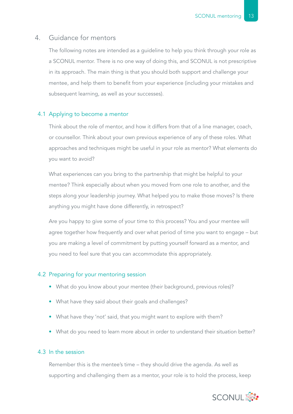#### 4. Guidance for mentors

The following notes are intended as a guideline to help you think through your role as a SCONUL mentor. There is no one way of doing this, and SCONUL is not prescriptive in its approach. The main thing is that you should both support and challenge your mentee, and help them to benefit from your experience (including your mistakes and subsequent learning, as well as your successes).

#### 4.1 Applying to become a mentor

Think about the role of mentor, and how it differs from that of a line manager, coach, or counsellor. Think about your own previous experience of any of these roles. What approaches and techniques might be useful in your role as mentor? What elements do you want to avoid?

What experiences can you bring to the partnership that might be helpful to your mentee? Think especially about when you moved from one role to another, and the steps along your leadership journey. What helped you to make those moves? Is there anything you might have done differently, in retrospect?

Are you happy to give some of your time to this process? You and your mentee will agree together how frequently and over what period of time you want to engage – but you are making a level of commitment by putting yourself forward as a mentor, and you need to feel sure that you can accommodate this appropriately.

#### 4.2 Preparing for your mentoring session

- What do you know about your mentee (their background, previous roles)?
- What have they said about their goals and challenges?
- What have they 'not' said, that you might want to explore with them?
- What do you need to learn more about in order to understand their situation better?

#### 4.3 In the session

Remember this is the mentee's time – they should drive the agenda. As well as supporting and challenging them as a mentor, your role is to hold the process, keep

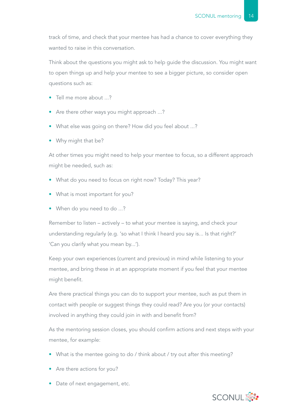track of time, and check that your mentee has had a chance to cover everything they wanted to raise in this conversation.

Think about the questions you might ask to help guide the discussion. You might want to open things up and help your mentee to see a bigger picture, so consider open questions such as:

- Tell me more about ...?
- Are there other ways you might approach ...?
- What else was going on there? How did you feel about ...?
- Why might that be?

At other times you might need to help your mentee to focus, so a different approach might be needed, such as:

- What do you need to focus on right now? Today? This year?
- What is most important for you?
- When do you need to do ...?

Remember to listen – actively – to what your mentee is saying, and check your understanding regularly (e.g. 'so what I think I heard you say is... Is that right?' 'Can you clarify what you mean by...').

Keep your own experiences (current and previous) in mind while listening to your mentee, and bring these in at an appropriate moment if you feel that your mentee might benefit.

Are there practical things you can do to support your mentee, such as put them in contact with people or suggest things they could read? Are you (or your contacts) involved in anything they could join in with and benefit from?

As the mentoring session closes, you should confirm actions and next steps with your mentee, for example:

- What is the mentee going to do / think about / try out after this meeting?
- Are there actions for you?
- Date of next engagement, etc.

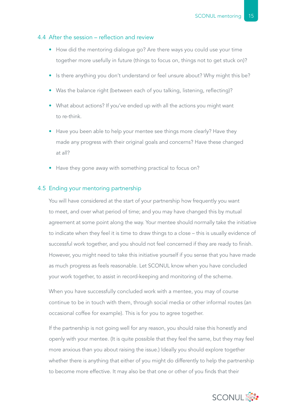#### 4.4 After the session – reflection and review

- How did the mentoring dialogue go? Are there ways you could use your time together more usefully in future (things to focus on, things not to get stuck on)?
- Is there anything you don't understand or feel unsure about? Why might this be?
- Was the balance right (between each of you talking, listening, reflecting)?
- What about actions? If you've ended up with all the actions you might want to re-think.
- Have you been able to help your mentee see things more clearly? Have they made any progress with their original goals and concerns? Have these changed at all?
- Have they gone away with something practical to focus on?

#### 4.5 Ending your mentoring partnership

You will have considered at the start of your partnership how frequently you want to meet, and over what period of time; and you may have changed this by mutual agreement at some point along the way. Your mentee should normally take the initiative to indicate when they feel it is time to draw things to a close – this is usually evidence of successful work together, and you should not feel concerned if they are ready to finish. However, you might need to take this initiative yourself if you sense that you have made as much progress as feels reasonable. Let SCONUL know when you have concluded your work together, to assist in record-keeping and monitoring of the scheme.

When you have successfully concluded work with a mentee, you may of course continue to be in touch with them, through social media or other informal routes (an occasional coffee for example). This is for you to agree together.

If the partnership is not going well for any reason, you should raise this honestly and openly with your mentee. (It is quite possible that they feel the same, but they may feel more anxious than you about raising the issue.) Ideally you should explore together whether there is anything that either of you might do differently to help the partnership to become more effective. It may also be that one or other of you finds that their

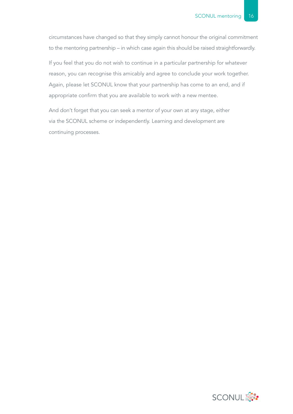circumstances have changed so that they simply cannot honour the original commitment to the mentoring partnership – in which case again this should be raised straightforwardly.

If you feel that you do not wish to continue in a particular partnership for whatever reason, you can recognise this amicably and agree to conclude your work together. Again, please let SCONUL know that your partnership has come to an end, and if appropriate confirm that you are available to work with a new mentee.

And don't forget that you can seek a mentor of your own at any stage, either via the SCONUL scheme or independently. Learning and development are continuing processes.

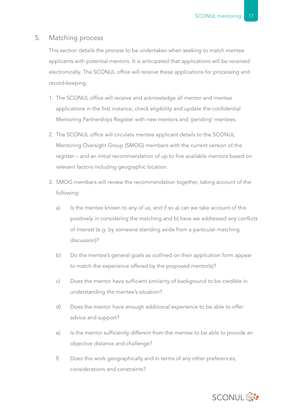#### 5. Matching process

This section details the process to be undertaken when seeking to match mentee applicants with potential mentors. It is anticipated that applications will be received electronically. The SCONUL office will receive these applications for processing and record-keeping.

- 1. The SCONUL office will receive and acknowledge all mentor and mentee applications in the first instance, check eligibility and update the confidential Mentoring Partnerships Register with new mentors and 'pending' mentees.
- 2. The SCONUL office will circulate mentee applicant details to the SCONUL Mentoring Oversight Group (SMOG) members with the current version of the register – and an initial recommendation of up to five available mentors based on relevant factors including geographic location.
- 3. SMOG members will review the recommendation together, taking account of the following:
	- a) Is the mentee known to any of us, and if so a) can we take account of this positively in considering the matching and b) have we addressed any conflicts of interest (e.g. by someone standing aside from a particular matching discussion)?
	- b) Do the mentee's general goals as outlined on their application form appear to match the experience offered by the proposed mentor(s)?
	- c) Does the mentor have sufficient similarity of background to be credible in understanding the mentee's situation?
	- d) Does the mentor have enough additional experience to be able to offer advice and support?
	- e) Is the mentor sufficiently different from the mentee to be able to provide an objective distance and challenge?
	- f) Does this work geographically and in terms of any other preferences, considerations and constraints?

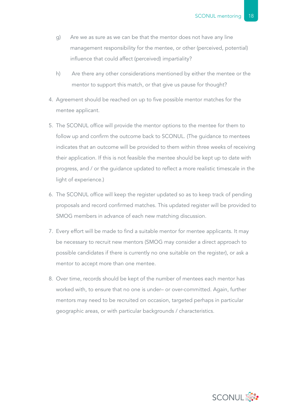- g) Are we as sure as we can be that the mentor does not have any line management responsibility for the mentee, or other (perceived, potential) influence that could affect (perceived) impartiality?
- h) Are there any other considerations mentioned by either the mentee or the mentor to support this match, or that give us pause for thought?
- 4. Agreement should be reached on up to five possible mentor matches for the mentee applicant.
- 5. The SCONUL office will provide the mentor options to the mentee for them to follow up and confirm the outcome back to SCONUL. (The guidance to mentees indicates that an outcome will be provided to them within three weeks of receiving their application. If this is not feasible the mentee should be kept up to date with progress, and / or the guidance updated to reflect a more realistic timescale in the light of experience.)
- 6. The SCONUL office will keep the register updated so as to keep track of pending proposals and record confirmed matches. This updated register will be provided to SMOG members in advance of each new matching discussion.
- 7. Every effort will be made to find a suitable mentor for mentee applicants. It may be necessary to recruit new mentors (SMOG may consider a direct approach to possible candidates if there is currently no one suitable on the register), or ask a mentor to accept more than one mentee.
- 8. Over time, records should be kept of the number of mentees each mentor has worked with, to ensure that no one is under– or over-committed. Again, further mentors may need to be recruited on occasion, targeted perhaps in particular geographic areas, or with particular backgrounds / characteristics.

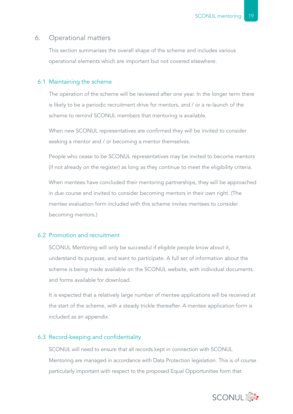#### 6. Operational matters

This section summarises the overall shape of the scheme and includes various operational elements which are important but not covered elsewhere.

#### 6.1 Maintaining the scheme

The operation of the scheme will be reviewed after one year. In the longer term there is likely to be a periodic recruitment drive for mentors, and / or a re-launch of the scheme to remind SCONUL members that mentoring is available.

When new SCONUL representatives are confirmed they will be invited to consider seeking a mentor and / or becoming a mentor themselves.

People who cease to be SCONUL representatives may be invited to become mentors (if not already on the register) as long as they continue to meet the eligibility criteria.

When mentees have concluded their mentoring partnerships, they will be approached in due course and invited to consider becoming mentors in their own right. (The mentee evaluation form included with this scheme invites mentees to consider becoming mentors.)

#### 6.2 Promotion and recruitment

SCONUL Mentoring will only be successful if eligible people know about it, understand its purpose, and want to participate. A full set of information about the scheme is being made available on the SCONUL website, with individual documents and forms available for download.

It is expected that a relatively large number of mentee applications will be received at the start of the scheme, with a steady trickle thereafter. A mentee application form is included as an appendix.

#### 6.3 Record-keeping and confidentiality

SCONUL will need to ensure that all records kept in connection with SCONUL Mentoring are managed in accordance with Data Protection legislation. This is of course particularly important with respect to the proposed Equal Opportunities form that

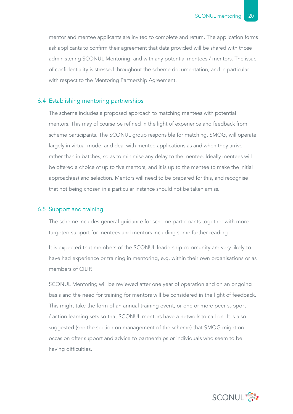mentor and mentee applicants are invited to complete and return. The application forms ask applicants to confirm their agreement that data provided will be shared with those administering SCONUL Mentoring, and with any potential mentees / mentors. The issue of confidentiality is stressed throughout the scheme documentation, and in particular with respect to the Mentoring Partnership Agreement.

#### 6.4 Establishing mentoring partnerships

The scheme includes a proposed approach to matching mentees with potential mentors. This may of course be refined in the light of experience and feedback from scheme participants. The SCONUL group responsible for matching, SMOG, will operate largely in virtual mode, and deal with mentee applications as and when they arrive rather than in batches, so as to minimise any delay to the mentee. Ideally mentees will be offered a choice of up to five mentors, and it is up to the mentee to make the initial approach(es) and selection. Mentors will need to be prepared for this, and recognise that not being chosen in a particular instance should not be taken amiss.

#### 6.5 Support and training

The scheme includes general guidance for scheme participants together with more targeted support for mentees and mentors including some further reading.

It is expected that members of the SCONUL leadership community are very likely to have had experience or training in mentoring, e.g. within their own organisations or as members of CILIP.

SCONUL Mentoring will be reviewed after one year of operation and on an ongoing basis and the need for training for mentors will be considered in the light of feedback. This might take the form of an annual training event, or one or more peer support / action learning sets so that SCONUL mentors have a network to call on. It is also suggested (see the section on management of the scheme) that SMOG might on occasion offer support and advice to partnerships or individuals who seem to be having difficulties.

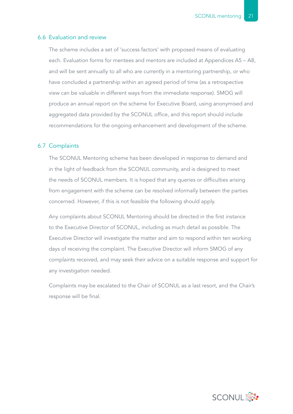#### 6.6 Evaluation and review

The scheme includes a set of 'success factors' with proposed means of evaluating each. Evaluation forms for mentees and mentors are included at Appendices A5 – A8, and will be sent annually to all who are currently in a mentoring partnership, or who have concluded a partnership within an agreed period of time (as a retrospective view can be valuable in different ways from the immediate response). SMOG will produce an annual report on the scheme for Executive Board, using anonymised and aggregated data provided by the SCONUL office, and this report should include recommendations for the ongoing enhancement and development of the scheme.

#### 6.7 Complaints

The SCONUL Mentoring scheme has been developed in response to demand and in the light of feedback from the SCONUL community, and is designed to meet the needs of SCONUL members. It is hoped that any queries or difficulties arising from engagement with the scheme can be resolved informally between the parties concerned. However, if this is not feasible the following should apply.

Any complaints about SCONUL Mentoring should be directed in the first instance to the Executive Director of SCONUL, including as much detail as possible. The Executive Director will investigate the matter and aim to respond within ten working days of receiving the complaint. The Executive Director will inform SMOG of any complaints received, and may seek their advice on a suitable response and support for any investigation needed.

Complaints may be escalated to the Chair of SCONUL as a last resort, and the Chair's response will be final.

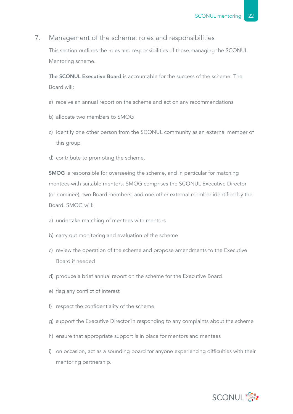#### 7. Management of the scheme: roles and responsibilities

This section outlines the roles and responsibilities of those managing the SCONUL Mentoring scheme.

The SCONUL Executive Board is accountable for the success of the scheme. The Board will:

- a) receive an annual report on the scheme and act on any recommendations
- b) allocate two members to SMOG
- c) identify one other person from the SCONUL community as an external member of this group
- d) contribute to promoting the scheme.

SMOG is responsible for overseeing the scheme, and in particular for matching mentees with suitable mentors. SMOG comprises the SCONUL Executive Director (or nominee), two Board members, and one other external member identified by the Board. SMOG will:

- a) undertake matching of mentees with mentors
- b) carry out monitoring and evaluation of the scheme
- c) review the operation of the scheme and propose amendments to the Executive Board if needed
- d) produce a brief annual report on the scheme for the Executive Board
- e) flag any conflict of interest
- f) respect the confidentiality of the scheme
- g) support the Executive Director in responding to any complaints about the scheme
- h) ensure that appropriate support is in place for mentors and mentees
- i) on occasion, act as a sounding board for anyone experiencing difficulties with their mentoring partnership.

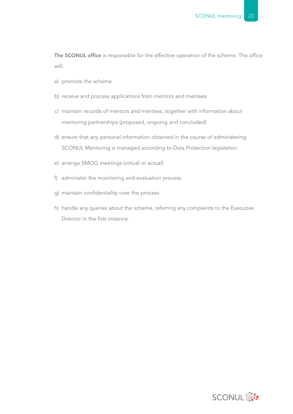The SCONUL office is responsible for the effective operation of the scheme. The office will:

- a) promote the scheme
- b) receive and process applications from mentors and mentees
- c) maintain records of mentors and mentees, together with information about mentoring partnerships (proposed, ongoing and concluded)
- d) ensure that any personal information obtained in the course of administering SCONUL Mentoring is managed according to Data Protection legislation
- e) arrange SMOG meetings (virtual or actual)
- f) administer the monitoring and evaluation process
- g) maintain confidentiality over the process
- h) handle any queries about the scheme, referring any complaints to the Executive Director in the first instance.

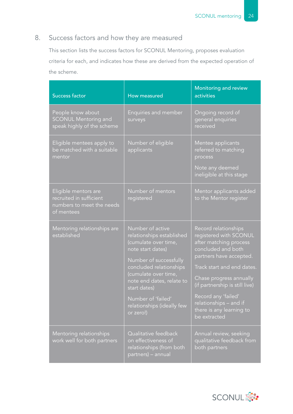## 8. Success factors and how they are measured

This section lists the success factors for SCONUL Mentoring, proposes evaluation criteria for each, and indicates how these are derived from the expected operation of the scheme.

| <b>Success factor</b>                                                                      | How measured                                                                                                                                                                                                                                                                          | Monitoring and review<br>activities                                                                                                                                                                                                                                                                               |
|--------------------------------------------------------------------------------------------|---------------------------------------------------------------------------------------------------------------------------------------------------------------------------------------------------------------------------------------------------------------------------------------|-------------------------------------------------------------------------------------------------------------------------------------------------------------------------------------------------------------------------------------------------------------------------------------------------------------------|
| People know about<br><b>SCONUL Mentoring and</b><br>speak highly of the scheme             | Enquiries and member<br>surveys                                                                                                                                                                                                                                                       | Ongoing record of<br>general enquiries<br>received                                                                                                                                                                                                                                                                |
| Eligible mentees apply to<br>be matched with a suitable<br>mentor                          | Number of eligible<br>applicants                                                                                                                                                                                                                                                      | Mentee applicants<br>referred to matching<br>process<br>Note any deemed<br>ineligible at this stage                                                                                                                                                                                                               |
| Eligible mentors are<br>recruited in sufficient<br>numbers to meet the needs<br>of mentees | Number of mentors<br>registered                                                                                                                                                                                                                                                       | Mentor applicants added<br>to the Mentor register                                                                                                                                                                                                                                                                 |
| Mentoring relationships are<br>established                                                 | Number of active<br>relationships established<br>(cumulate over time,<br>note start dates)<br>Number of successfully<br>concluded relationships<br>(cumulate over time,<br>note end dates, relate to<br>start dates)<br>Number of 'failed'<br>relationships (ideally few<br>or zero!) | Record relationships<br>registered with SCONUL<br>after matching process<br>concluded and both<br>partners have accepted.<br>Track start and end dates.<br>Chase progress annually<br>(if partnership is still live)<br>Record any 'failed'<br>relationships - and if<br>there is any learning to<br>be extracted |
| Mentoring relationships<br>work well for both partners                                     | Qualitative feedback<br>on effectiveness of<br>relationships (from both<br>partners) – annual                                                                                                                                                                                         | Annual review, seeking<br>qualitative feedback from<br>both partners                                                                                                                                                                                                                                              |

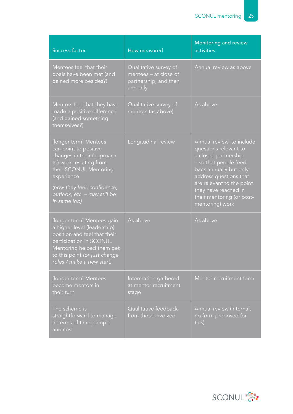| <b>Success factor</b>                                                                                                                                                                                                          | How measured                                                                        | Monitoring and review<br>activities                                                                                                                                                                                                                          |
|--------------------------------------------------------------------------------------------------------------------------------------------------------------------------------------------------------------------------------|-------------------------------------------------------------------------------------|--------------------------------------------------------------------------------------------------------------------------------------------------------------------------------------------------------------------------------------------------------------|
| Mentees feel that their<br>goals have been met (and<br>gained more besides?)                                                                                                                                                   | Qualitative survey of<br>mentees - at close of<br>partnership, and then<br>annually | Annual review as above                                                                                                                                                                                                                                       |
| Mentors feel that they have<br>made a positive difference<br>(and gained something<br>themselves?)                                                                                                                             | Qualitative survey of<br>mentors (as above)                                         | As above                                                                                                                                                                                                                                                     |
| [longer term] Mentees<br>can point to positive<br>changes in their (approach<br>to) work resulting from<br>their SCONUL Mentoring<br>experience<br>(how they feel, confidence,<br>outlook, etc. - may still be<br>in same job) | Longitudinal review                                                                 | Annual review, to include<br>questions relevant to<br>a closed partnership<br>- so that people feed<br>back annually but only<br>address questions that<br>are relevant to the point<br>they have reached in<br>their mentoring (or post-<br>mentoring) work |
| [longer term] Mentees gain<br>a higher level (leadership)<br>position and feel that their<br>participation in SCONUL<br>Mentoring helped them get<br>to this point (or just change<br>roles / make a new start)                | As above                                                                            | As above                                                                                                                                                                                                                                                     |
| [longer term] Mentees<br>become mentors in<br>their turn                                                                                                                                                                       | Information gathered<br>at mentor recruitment<br>stage                              | Mentor recruitment form                                                                                                                                                                                                                                      |
| The scheme is<br>straightforward to manage<br>in terms of time, people<br>and cost                                                                                                                                             | Qualitative feedback<br>from those involved                                         | Annual review (internal,<br>no form proposed for<br>this)                                                                                                                                                                                                    |

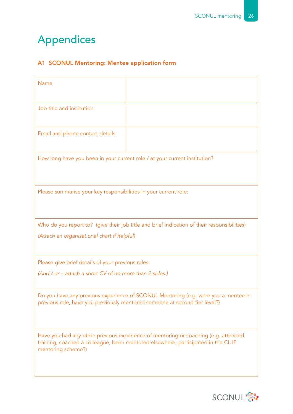# Appendices

### A1 SCONUL Mentoring: Mentee application form

| Name                                                                       |                                                                                                                                                                         |
|----------------------------------------------------------------------------|-------------------------------------------------------------------------------------------------------------------------------------------------------------------------|
| Job title and institution                                                  |                                                                                                                                                                         |
| Email and phone contact details                                            |                                                                                                                                                                         |
| How long have you been in your current role / at your current institution? |                                                                                                                                                                         |
| Please summarise your key responsibilities in your current role:           |                                                                                                                                                                         |
|                                                                            | Who do you report to? (give their job title and brief indication of their responsibilities)                                                                             |
| (Attach an organisational chart if helpful)                                |                                                                                                                                                                         |
| Please give brief details of your previous roles:                          |                                                                                                                                                                         |
| (And / or – attach a short CV of no more than 2 sides.)                    |                                                                                                                                                                         |
|                                                                            | Do you have any previous experience of SCONUL Mentoring (e.g. were you a mentee in<br>previous role, have you previously mentored someone at second tier level?)        |
| mentoring scheme?)                                                         | Have you had any other previous experience of mentoring or coaching (e.g. attended<br>training, coached a colleague, been mentored elsewhere, participated in the CILIP |

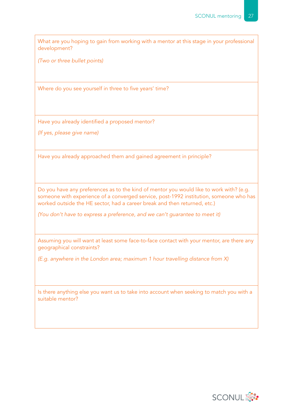What are you hoping to gain from working with a mentor at this stage in your professional development?

*(Two or three bullet points)*

Where do you see yourself in three to five years' time?

Have you already identified a proposed mentor?

*(If yes, please give name)*

Have you already approached them and gained agreement in principle?

Do you have any preferences as to the kind of mentor you would like to work with? (e.g. someone with experience of a converged service, post-1992 institution, someone who has worked outside the HE sector, had a career break and then returned, etc.)

*(You don't have to express a preference, and we can't guarantee to meet it)*

Assuming you will want at least some face-to-face contact with your mentor, are there any geographical constraints?

*(E.g. anywhere in the London area; maximum 1 hour travelling distance from X)*

Is there anything else you want us to take into account when seeking to match you with a suitable mentor?

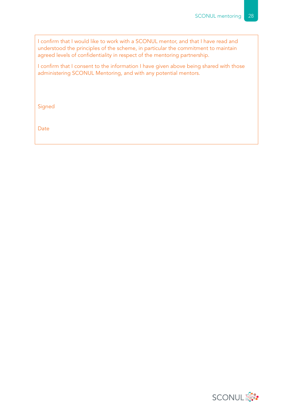I confirm that I would like to work with a SCONUL mentor, and that I have read and understood the principles of the scheme, in particular the commitment to maintain agreed levels of confidentiality in respect of the mentoring partnership.

I confirm that I consent to the information I have given above being shared with those administering SCONUL Mentoring, and with any potential mentors.

Signed

Date

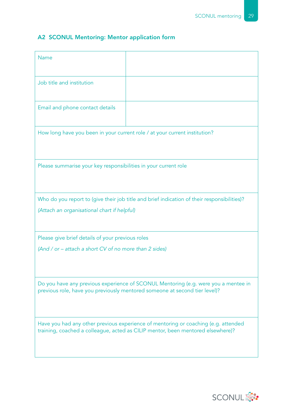### A2 SCONUL Mentoring: Mentor application form

| <b>Name</b>                                                                |                                                                                                                                                                       |
|----------------------------------------------------------------------------|-----------------------------------------------------------------------------------------------------------------------------------------------------------------------|
| Job title and institution                                                  |                                                                                                                                                                       |
| Email and phone contact details                                            |                                                                                                                                                                       |
| How long have you been in your current role / at your current institution? |                                                                                                                                                                       |
| Please summarise your key responsibilities in your current role            |                                                                                                                                                                       |
|                                                                            | Who do you report to (give their job title and brief indication of their responsibilities)?                                                                           |
| (Attach an organisational chart if helpful)                                |                                                                                                                                                                       |
| Please give brief details of your previous roles                           |                                                                                                                                                                       |
| (And / or – attach a short CV of no more than 2 sides)                     |                                                                                                                                                                       |
|                                                                            | Do you have any previous experience of SCONUL Mentoring (e.g. were you a mentee in<br>previous role, have you previously mentored someone at second tier level)?      |
|                                                                            | Have you had any other previous experience of mentoring or coaching (e.g. attended<br>training, coached a colleague, acted as CILIP mentor, been mentored elsewhere)? |

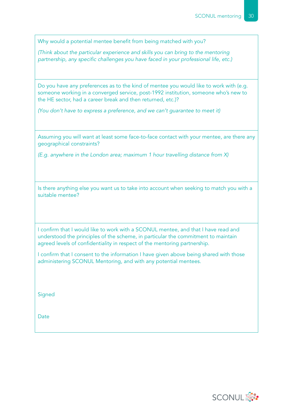Why would a potential mentee benefit from being matched with you?

*(Think about the particular experience and skills you can bring to the mentoring partnership, any specific challenges you have faced in your professional life, etc.)* 

Do you have any preferences as to the kind of mentee you would like to work with (e.g. someone working in a converged service, post-1992 institution, someone who's new to the HE sector, had a career break and then returned, etc.)?

*(You don't have to express a preference, and we can't guarantee to meet it)*

Assuming you will want at least some face-to-face contact with your mentee, are there any geographical constraints?

*(E.g. anywhere in the London area; maximum 1 hour travelling distance from X)*

Is there anything else you want us to take into account when seeking to match you with a suitable mentee?

I confirm that I would like to work with a SCONUL mentee, and that I have read and understood the principles of the scheme, in particular the commitment to maintain agreed levels of confidentiality in respect of the mentoring partnership.

I confirm that I consent to the information I have given above being shared with those administering SCONUL Mentoring, and with any potential mentees.

**Signed** 

**Date** 

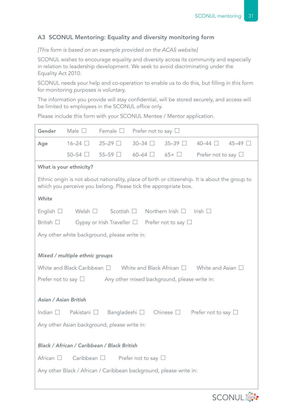#### A3 SCONUL Mentoring: Equality and diversity monitoring form

#### *[This form is based on an example provided on the ACAS website]*

SCONUL wishes to encourage equality and diversity across its community and especially in relation to leadership development. We seek to avoid discriminating under the Equality Act 2010.

SCONUL needs your help and co-operation to enable us to do this, but filling in this form for monitoring purposes is voluntary.

The information you provide will stay confidential, will be stored securely, and access will be limited to employees in the SCONUL office only.

Please include this form with your SCONUL Mentee / Mentor application.

| Gender                      | Male $\square$                                                                                                                                                     | Female $\square$                                                   | Prefer not to say $\Box$                     |                          |                           |                |
|-----------------------------|--------------------------------------------------------------------------------------------------------------------------------------------------------------------|--------------------------------------------------------------------|----------------------------------------------|--------------------------|---------------------------|----------------|
| Age                         | $16-24$ $\Box$                                                                                                                                                     | 25-29 □                                                            | $30 - 34$<br>$\mathcal{L}$                   | 35-39 □                  | $40-44$ $\Box$            | $45-49$ $\Box$ |
|                             | $50-54$ $\Box$                                                                                                                                                     | 55-59 □                                                            | $60-64$ $\Box$                               | $65+$                    | Prefer not to say $\Box$  |                |
|                             | What is your ethnicity?                                                                                                                                            |                                                                    |                                              |                          |                           |                |
|                             | Ethnic origin is not about nationality, place of birth or citizenship. It is about the group to<br>which you perceive you belong. Please tick the appropriate box. |                                                                    |                                              |                          |                           |                |
| White                       |                                                                                                                                                                    |                                                                    |                                              |                          |                           |                |
| English $\Box$              | Welsh $\square$                                                                                                                                                    | Scottish [                                                         |                                              | Northern Irish $\Box$    | Irish $\Box$              |                |
| British $\Box$              |                                                                                                                                                                    | Gypsy or Irish Traveller $\Box$                                    |                                              | Prefer not to say $\Box$ |                           |                |
|                             |                                                                                                                                                                    | Any other white background, please write in:                       |                                              |                          |                           |                |
|                             | Mixed / multiple ethnic groups                                                                                                                                     |                                                                    |                                              |                          |                           |                |
|                             | White and Black Caribbean $\Box$                                                                                                                                   |                                                                    | White and Black African $\square$            |                          | White and Asian $\square$ |                |
| Prefer not to say $\square$ |                                                                                                                                                                    |                                                                    | Any other mixed background, please write in: |                          |                           |                |
|                             |                                                                                                                                                                    |                                                                    |                                              |                          |                           |                |
| Asian / Asian British       |                                                                                                                                                                    |                                                                    |                                              |                          |                           |                |
| Indian $\square$            | Pakistani $\Box$                                                                                                                                                   | Bangladeshi □                                                      |                                              | Chinese $\square$        | Prefer not to say $\Box$  |                |
|                             |                                                                                                                                                                    | Any other Asian background, please write in:                       |                                              |                          |                           |                |
|                             |                                                                                                                                                                    |                                                                    |                                              |                          |                           |                |
|                             |                                                                                                                                                                    | Black / African / Caribbean / Black British                        |                                              |                          |                           |                |
| African $\square$           |                                                                                                                                                                    | Caribbean $\square$ Prefer not to say $\square$                    |                                              |                          |                           |                |
|                             |                                                                                                                                                                    | Any other Black / African / Caribbean background, please write in: |                                              |                          |                           |                |
|                             |                                                                                                                                                                    |                                                                    |                                              |                          |                           |                |

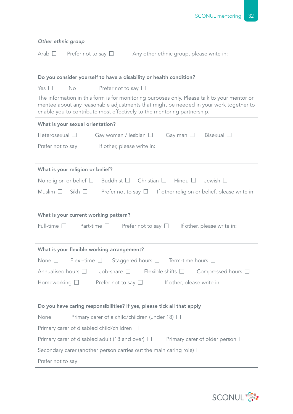| Other ethnic group                                                                                                                                                                                                                                              |
|-----------------------------------------------------------------------------------------------------------------------------------------------------------------------------------------------------------------------------------------------------------------|
| Any other ethnic group, please write in:<br>Arab $\Box$<br>Prefer not to say $\Box$                                                                                                                                                                             |
|                                                                                                                                                                                                                                                                 |
| Do you consider yourself to have a disability or health condition?                                                                                                                                                                                              |
| Yes $\Box$<br>$No$ $\Box$<br>Prefer not to say $\Box$                                                                                                                                                                                                           |
| The information in this form is for monitoring purposes only. Please talk to your mentor or<br>mentee about any reasonable adjustments that might be needed in your work together to<br>enable you to contribute most effectively to the mentoring partnership. |
| What is your sexual orientation?                                                                                                                                                                                                                                |
| Heterosexual $\Box$<br>Gay woman / lesbian $\Box$ Gay man $\Box$<br>Bisexual $\Box$                                                                                                                                                                             |
| Prefer not to say $\square$ If other, please write in:                                                                                                                                                                                                          |
|                                                                                                                                                                                                                                                                 |
| What is your religion or belief?                                                                                                                                                                                                                                |
| No religion or belief $\square$ Buddhist $\square$ Christian $\square$ Hindu $\square$ Jewish $\square$                                                                                                                                                         |
| Muslim $\Box$<br>Sikh $\Box$<br>Prefer not to say $\Box$ If other religion or belief, please write in:                                                                                                                                                          |
|                                                                                                                                                                                                                                                                 |
| What is your current working pattern?                                                                                                                                                                                                                           |
| Full-time $\Box$<br>Part-time $\square$ Prefer not to say $\square$<br>If other, please write in:                                                                                                                                                               |
|                                                                                                                                                                                                                                                                 |
| What is your flexible working arrangement?                                                                                                                                                                                                                      |
| Flexi-time $\Box$ Staggered hours $\Box$ Term-time hours $\Box$<br>None $\square$                                                                                                                                                                               |
| Annualised hours $\Box$<br>Job-share $\square$ Flexible shifts $\square$<br>Compressed hours $\square$                                                                                                                                                          |
| Homeworking $\Box$ Prefer not to say $\Box$<br>If other, please write in:                                                                                                                                                                                       |
|                                                                                                                                                                                                                                                                 |
| Do you have caring responsibilities? If yes, please tick all that apply                                                                                                                                                                                         |
| Primary carer of a child/children (under 18) $\Box$<br>None $\square$                                                                                                                                                                                           |
| Primary carer of disabled child/children $\Box$                                                                                                                                                                                                                 |
| Primary carer of disabled adult (18 and over) $\Box$ Primary carer of older person $\Box$                                                                                                                                                                       |
| Secondary carer (another person carries out the main caring role) $\Box$                                                                                                                                                                                        |
| Prefer not to say $\Box$                                                                                                                                                                                                                                        |

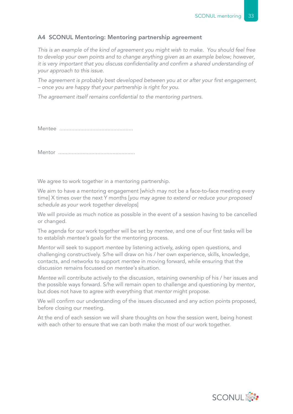#### A4 SCONUL Mentoring: Mentoring partnership agreement

*This is an example of the kind of agreement you might wish to make. You should feel free to develop your own points and to change anything given as an example below; however, it is very important that you discuss confidentiality and confirm a shared understanding of your approach to this issue.* 

*The agreement is probably best developed between you at or after your first engagement, – once you are happy that your partnership is right for you.*

*The agreement itself remains confidential to the mentoring partners.*

Mentee .................................................

Mentor ...................................................

We agree to work together in a mentoring partnership.

We aim to have a mentoring engagement [which may not be a face-to-face meeting every time] X times over the next Y months [*you may agree to extend or reduce your proposed schedule as your work together develops*]

We will provide as much notice as possible in the event of a session having to be cancelled or changed.

The agenda for our work together will be set by *mentee*, and one of our first tasks will be to establish *mentee's* goals for the mentoring process.

*Mentor* will seek to support *mentee* by listening actively, asking open questions, and challenging constructively. S/he will draw on his / her own experience, skills, knowledge, contacts, and networks to support *mentee* in moving forward, while ensuring that the discussion remains focussed on *mentee's* situation.

*Mentee* will contribute actively to the discussion, retaining ownership of his / her issues and the possible ways forward. S/he will remain open to challenge and questioning by *mentor*, but does not have to agree with everything that *mentor* might propose.

We will confirm our understanding of the issues discussed and any action points proposed, before closing our meeting.

At the end of each session we will share thoughts on how the session went, being honest with each other to ensure that we can both make the most of our work together.

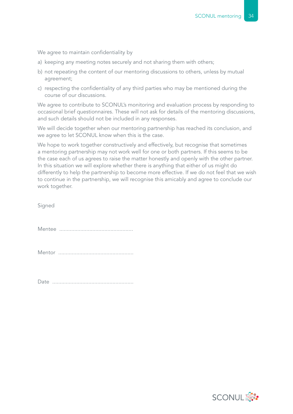We agree to maintain confidentiality by

- a) keeping any meeting notes securely and not sharing them with others;
- b) not repeating the content of our mentoring discussions to others, unless by mutual agreement;
- c) respecting the confidentiality of any third parties who may be mentioned during the course of our discussions.

We agree to contribute to SCONUL's monitoring and evaluation process by responding to occasional brief questionnaires. These will not ask for details of the mentoring discussions, and such details should not be included in any responses.

We will decide together when our mentoring partnership has reached its conclusion, and we agree to let SCONUL know when this is the case.

We hope to work together constructively and effectively, but recognise that sometimes a mentoring partnership may not work well for one or both partners. If this seems to be the case each of us agrees to raise the matter honestly and openly with the other partner. In this situation we will explore whether there is anything that either of us might do differently to help the partnership to become more effective. If we do not feel that we wish to continue in the partnership, we will recognise this amicably and agree to conclude our work together.

Signed

Mentee .................................................

Mentor ..................................................

Date ......................................................

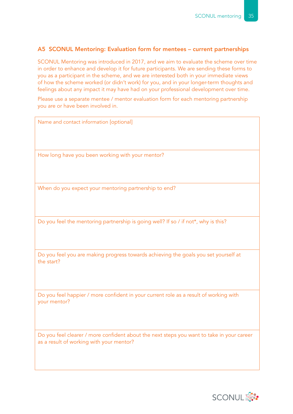#### A5 SCONUL Mentoring: Evaluation form for mentees – current partnerships

SCONUL Mentoring was introduced in 2017, and we aim to evaluate the scheme over time in order to enhance and develop it for future participants. We are sending these forms to you as a participant in the scheme, and we are interested both in your immediate views of how the scheme worked (or didn't work) for you, and in your longer-term thoughts and feelings about any impact it may have had on your professional development over time.

Please use a separate mentee / mentor evaluation form for each mentoring partnership you are or have been involved in.

| Name and contact information [optional]                                                                                               |
|---------------------------------------------------------------------------------------------------------------------------------------|
| How long have you been working with your mentor?                                                                                      |
| When do you expect your mentoring partnership to end?                                                                                 |
| Do you feel the mentoring partnership is going well? If so / if not*, why is this?                                                    |
| Do you feel you are making progress towards achieving the goals you set yourself at<br>the start?                                     |
| Do you feel happier / more confident in your current role as a result of working with<br>your mentor?                                 |
| Do you feel clearer / more confident about the next steps you want to take in your career<br>as a result of working with your mentor? |

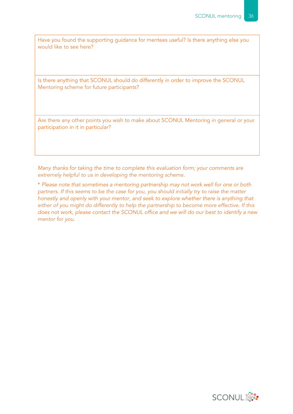Have you found the supporting guidance for mentees useful? Is there anything else you would like to see here?

Is there anything that SCONUL should do differently in order to improve the SCONUL Mentoring scheme for future participants?

Are there any other points you wish to make about SCONUL Mentoring in general or your participation in it in particular?

*Many thanks for taking the time to complete this evaluation form; your comments are extremely helpful to us in developing the mentoring scheme.*

\* *Please note that sometimes a mentoring partnership may not work well for one or both partners. If this seems to be the case for you, you should initially try to raise the matter honestly and openly with your mentor, and seek to explore whether there is anything that either of you might do differently to help the partnership to become more effective. If this does not work, please contact the SCONUL office and we will do our best to identify a new mentor for you.*

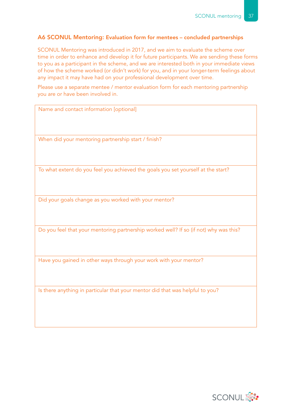#### A6 SCONUL Mentoring: Evaluation form for mentees – concluded partnerships

SCONUL Mentoring was introduced in 2017, and we aim to evaluate the scheme over time in order to enhance and develop it for future participants. We are sending these forms to you as a participant in the scheme, and we are interested both in your immediate views of how the scheme worked (or didn't work) for you, and in your longer-term feelings about any impact it may have had on your professional development over time.

Please use a separate mentee / mentor evaluation form for each mentoring partnership you are or have been involved in.

| Name and contact information [optional]                                               |
|---------------------------------------------------------------------------------------|
|                                                                                       |
|                                                                                       |
|                                                                                       |
| When did your mentoring partnership start / finish?                                   |
|                                                                                       |
|                                                                                       |
|                                                                                       |
| To what extent do you feel you achieved the goals you set yourself at the start?      |
|                                                                                       |
|                                                                                       |
|                                                                                       |
| Did your goals change as you worked with your mentor?                                 |
|                                                                                       |
|                                                                                       |
|                                                                                       |
| Do you feel that your mentoring partnership worked well? If so (if not) why was this? |
|                                                                                       |

Have you gained in other ways through your work with your mentor?

Is there anything in particular that your mentor did that was helpful to you?

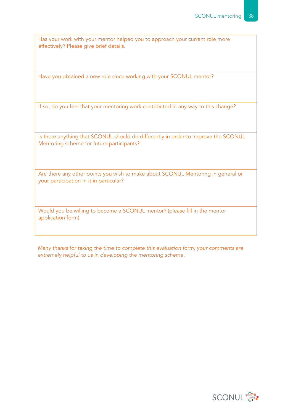Has your work with your mentor helped you to approach your current role more effectively? Please give brief details.

Have you obtained a new role since working with your SCONUL mentor?

If so, do you feel that your mentoring work contributed in any way to this change?

Is there anything that SCONUL should do differently in order to improve the SCONUL Mentoring scheme for future participants?

Are there any other points you wish to make about SCONUL Mentoring in general or your participation in it in particular?

Would you be willing to become a SCONUL mentor? (please fill in the mentor application form)

*Many thanks for taking the time to complete this evaluation form; your comments are extremely helpful to us in developing the mentoring scheme.*

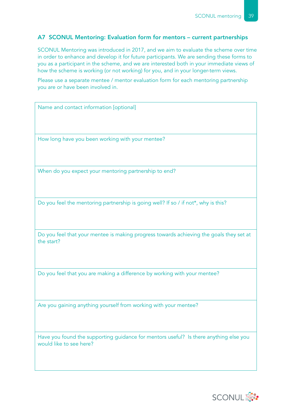#### A7 SCONUL Mentoring: Evaluation form for mentors – current partnerships

SCONUL Mentoring was introduced in 2017, and we aim to evaluate the scheme over time in order to enhance and develop it for future participants. We are sending these forms to you as a participant in the scheme, and we are interested both in your immediate views of how the scheme is working (or not working) for you, and in your longer-term views.

Please use a separate mentee / mentor evaluation form for each mentoring partnership you are or have been involved in.

Name and contact information [optional] How long have you been working with your mentee? When do you expect your mentoring partnership to end? Do you feel the mentoring partnership is going well? If so / if not\*, why is this? Do you feel that your mentee is making progress towards achieving the goals they set at

Do you feel that you are making a difference by working with your mentee?

Are you gaining anything yourself from working with your mentee?

the start?

Have you found the supporting guidance for mentors useful? Is there anything else you would like to see here?

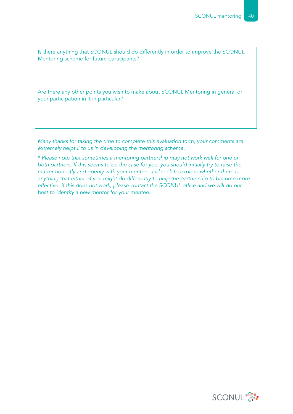Is there anything that SCONUL should do differently in order to improve the SCONUL Mentoring scheme for future participants?

Are there any other points you wish to make about SCONUL Mentoring in general or your participation in it in particular?

*Many thanks for taking the time to complete this evaluation form; your comments are extremely helpful to us in developing the mentoring scheme.*

*\* Please note that sometimes a mentoring partnership may not work well for one or both partners. If this seems to be the case for you, you should initially try to raise the matter honestly and openly with your mentee, and seek to explore whether there is anything that either of you might do differently to help the partnership to become more effective. If this does not work, please contact the SCONUL office and we will do our best to identify a new mentor for your mentee.* 

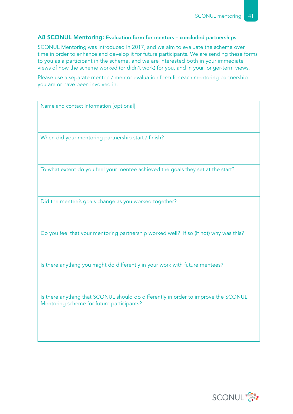#### A8 SCONUL Mentoring: Evaluation form for mentors – concluded partnerships

SCONUL Mentoring was introduced in 2017, and we aim to evaluate the scheme over time in order to enhance and develop it for future participants. We are sending these forms to you as a participant in the scheme, and we are interested both in your immediate views of how the scheme worked (or didn't work) for you, and in your longer-term views.

Please use a separate mentee / mentor evaluation form for each mentoring partnership you are or have been involved in.

Name and contact information [optional]

When did your mentoring partnership start / finish?

To what extent do you feel your mentee achieved the goals they set at the start?

Did the mentee's goals change as you worked together?

Do you feel that your mentoring partnership worked well? If so (if not) why was this?

Is there anything you might do differently in your work with future mentees?

Is there anything that SCONUL should do differently in order to improve the SCONUL Mentoring scheme for future participants?

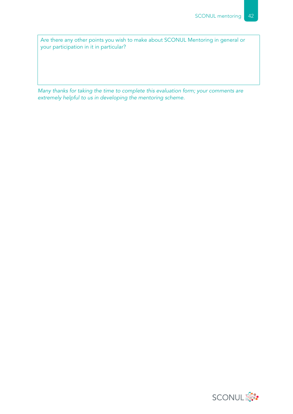Are there any other points you wish to make about SCONUL Mentoring in general or your participation in it in particular?

*Many thanks for taking the time to complete this evaluation form; your comments are extremely helpful to us in developing the mentoring scheme.*